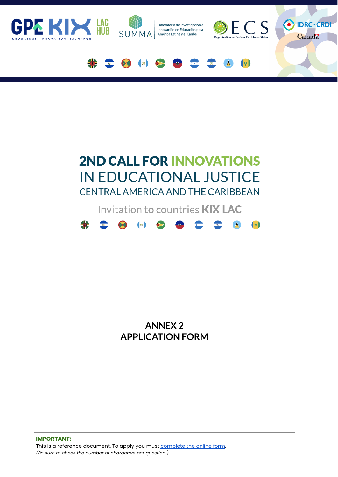

# **2ND CALL FOR INNOVATIONS IN EDUCATIONAL JUSTICE** CENTRAL AMERICA AND THE CARIBBEAN

Invitation to countries **KIX LAC** 



**ANNEX 2 APPLICATION FORM**

**IMPORTANT:** This is a reference document. To apply you must [complete](https://bit.ly/3kXZkvX) the online form. *(Be sure to check the number of characters per question )*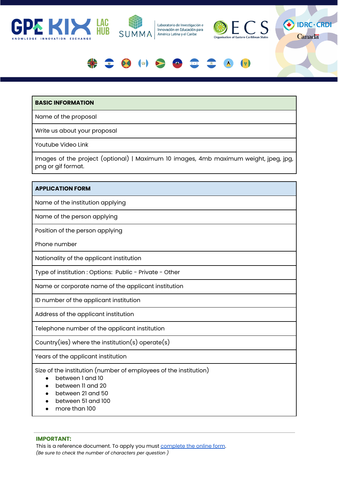







### **BASIC INFORMATION**

Name of the proposal

Write us about your proposal

Youtube Video Link

Images of the project (optional) | Maximum 10 images, 4mb maximum weight, jpeg, jpg, png or gif format.

#### **APPLICATION FORM**

Name of the institution applying

Name of the person applying

Position of the person applying

Phone number

Nationality of the applicant institution

Type of institution : Options: Public - Private - Other

Name or corporate name of the applicant institution

ID number of the applicant institution

Address of the applicant institution

Telephone number of the applicant institution

Country(ies) where the institution(s) operate(s)

Years of the applicant institution

Size of the institution (number of employees of the institution)

- between 1 and 10
- between 11 and 20
- between 21 and 50
- between 51 and 100
- more than 100

**IMPORTANT:**

This is a reference document. To apply you must [complete](https://bit.ly/3kXZkvX) the online form. *(Be sure to check the number of characters per question )*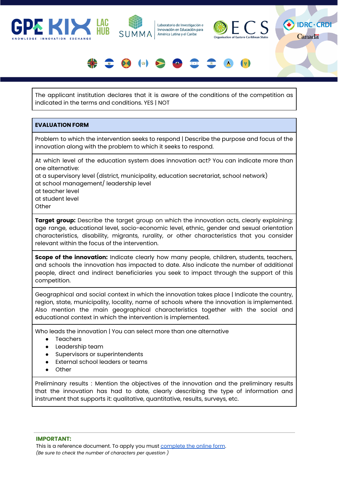







The applicant institution declares that it is aware of the conditions of the competition as indicated in the terms and conditions. YES | NOT

#### **EVALUATION FORM**

Problem to which the intervention seeks to respond | Describe the purpose and focus of the innovation along with the problem to which it seeks to respond.

At which level of the education system does innovation act? You can indicate more than one alternative:

at a supervisory level (district, municipality, education secretariat, school network) at school management/ leadership level

at teacher level at student level

**Other** 

**Target group:** Describe the target group on which the innovation acts, clearly explaining: age range, educational level, socio-economic level, ethnic, gender and sexual orientation characteristics, disability, migrants, rurality, or other characteristics that you consider relevant within the focus of the intervention.

**Scope of the innovation:** Indicate clearly how many people, children, students, teachers, and schools the innovation has impacted to date. Also indicate the number of additional people, direct and indirect beneficiaries you seek to impact through the support of this competition.

Geographical and social context in which the innovation takes place | Indicate the country, region, state, municipality, locality, name of schools where the innovation is implemented. Also mention the main geographical characteristics together with the social and educational context in which the intervention is implemented.

Who leads the innovation | You can select more than one alternative

- Teachers
- Leadership team
- Supervisors or superintendents
- External school leaders or teams
- Other

Preliminary results : Mention the objectives of the innovation and the preliminary results that the innovation has had to date, clearly describing the type of information and instrument that supports it: qualitative, quantitative, results, surveys, etc.

**IMPORTANT:**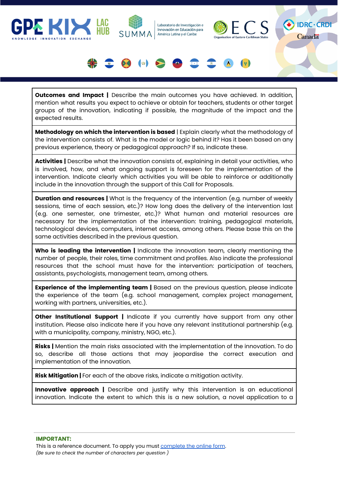







**Outcomes and Impact |** Describe the main outcomes you have achieved. In addition, mention what results you expect to achieve or obtain for teachers, students or other target groups of the innovation, indicating if possible, the magnitude of the impact and the expected results.

**Methodology on which the intervention is based** | Explain clearly what the methodology of the intervention consists of. What is the model or logic behind it? Has it been based on any previous experience, theory or pedagogical approach? If so, indicate these.

**Activities |** Describe what the innovation consists of, explaining in detail your activities, who is involved, how, and what ongoing support is foreseen for the implementation of the intervention. Indicate clearly which activities you will be able to reinforce or additionally include in the innovation through the support of this Call for Proposals.

**Duration and resources |** What is the frequency of the intervention (e.g. number of weekly sessions, time of each session, etc.)? How long does the delivery of the intervention last (e.g. one semester, one trimester, etc.)? What human and material resources are necessary for the implementation of the intervention: training, pedagogical materials, technological devices, computers, internet access, among others. Please base this on the same activities described in the previous question.

**Who is leading the intervention |** Indicate the innovation team, clearly mentioning the number of people, their roles, time commitment and profiles. Also indicate the professional resources that the school must have for the intervention: participation of teachers, assistants, psychologists, management team, among others.

**Experience of the implementing team |** Based on the previous question, please indicate the experience of the team (e.g. school management, complex project management, working with partners, universities, etc.).

**Other Institutional Support |** Indicate if you currently have support from any other institution. Please also indicate here if you have any relevant institutional partnership (e.g. with a municipality, company, ministry, NGO, etc.).

**Risks |** Mention the main risks associated with the implementation of the innovation. To do so, describe all those actions that may jeopardise the correct execution and implementation of the innovation.

**Risk Mitigation |** For each of the above risks, indicate a mitigation activity.

**Innovative approach |** Describe and justify why this intervention is an educational innovation. Indicate the extent to which this is a new solution, a novel application to a

**IMPORTANT:**